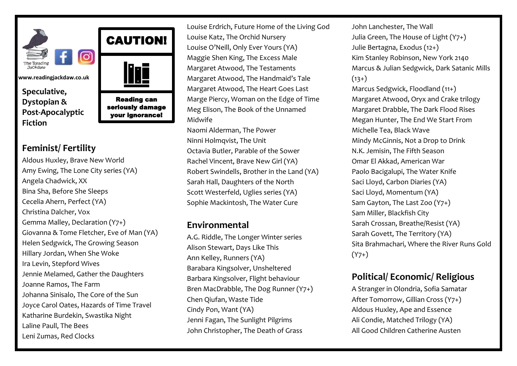

CAUTION!

Reading can seriously damage your ignorance!

j

**www.readingjackdaw.co.uk**

**Speculative, Dystopian & Post-Apocalyptic Fiction**

#### **Feminist/ Fertility**

Aldous Huxley, Brave New World Amy Ewing, The Lone City series (YA) Angela Chadwick, XX Bina Sha, Before She Sleeps Cecelia Ahern, Perfect (YA) Christina Dalcher, Vox Gemma Malley, Declaration (Y7+) Giovanna & Tome Fletcher, Eve of Man (YA) Helen Sedgwick, The Growing Season Hillary Jordan, When She Woke Ira Levin, Stepford Wives Jennie Melamed, Gather the Daughters Joanne Ramos, The Farm Johanna Sinisalo, The Core of the Sun Joyce Carol Oates, Hazards of Time Travel Katharine Burdekin, Swastika Night Laline Paull, The Bees Leni Zumas, Red Clocks

Louise Erdrich, Future Home of the Living God Louise Katz, The Orchid Nursery Louise O'Neill, Only Ever Yours (YA) Maggie Shen King, The Excess Male Margaret Atwood, The Testaments Margaret Atwood, The Handmaid's Tale Margaret Atwood, The Heart Goes Last Marge Piercy, Woman on the Edge of Time Meg Elison, The Book of the Unnamed Midwife

Naomi Alderman, The Power Ninni Holmqvist, The Unit Octavia Butler, Parable of the Sower Rachel Vincent, Brave New Girl (YA) Robert Swindells, Brother in the Land (YA) Sarah Hall, Daughters of the North Scott Westerfeld, Uglies series (YA) Sophie Mackintosh, The Water Cure

#### **Environmental**

A.G. Riddle, The Longer Winter series Alison Stewart, Days Like This Ann Kelley, Runners (YA) Barabara Kingsolver, Unsheltered Barbara Kingsolver, Flight behaviour Bren MacDrabble, The Dog Runner (Y7+) Chen Qiufan, Waste Tide Cindy Pon, Want (YA) Jenni Fagan, The Sunlight Pilgrims John Christopher, The Death of Grass

John Lanchester, The Wall Julia Green, The House of Light (Y7+) Julie Bertagna, Exodus (12+) Kim Stanley Robinson, New York 2140 Marcus & Julian Sedgwick, Dark Satanic Mills  $(13+)$ Marcus Sedgwick, Floodland (11+) Margaret Atwood, Oryx and Crake trilogy Margaret Drabble, The Dark Flood Rises Megan Hunter, The End We Start From Michelle Tea, Black Wave Mindy McGinnis, Not a Drop to Drink N.K. Jemisin, The Fifth Season Omar El Akkad, American War Paolo Bacigalupi, The Water Knife Saci Lloyd, Carbon Diaries (YA) Saci Lloyd, Momentum (YA) Sam Gayton, The Last Zoo (Y7+) Sam Miller, Blackfish City Sarah Crossan, Breathe/Resist (YA) Sarah Govett, The Territory (YA) Sita Brahmachari, Where the River Runs Gold  $(Y7+)$ 

## **Political/ Economic/ Religious**

A Stranger in Olondria, Sofia Samatar After Tomorrow, Gillian Cross (Y7+) Aldous Huxley, Ape and Essence Ali Condie, Matched Trilogy (YA) [All Good Children](http://www.catherineausten.com/books_agc.html) Catherine Austen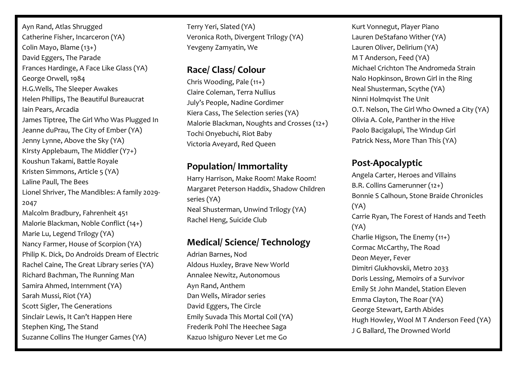Ayn Rand, Atlas Shrugged Catherine Fisher, Incarceron (YA) Colin Mayo, Blame (13+) David Eggers, The Parade Frances Hardinge, A Face Like Glass (YA) George Orwell, 1984 H.G.Wells, The Sleeper Awakes Helen Phillips, The Beautiful Bureaucrat Iain Pears, Arcadia James Tiptree, The Girl Who Was Plugged In Jeanne duPrau, The City of Ember (YA) Jenny Lynne, Above the Sky (YA) KIrsty Applebaum, The Middler (Y7+) Koushun Takami, Battle Royale Kristen Simmons, Article 5 (YA) Laline Paull, The Bees Lionel Shriver, The Mandibles: A family 2029- 2047 Malcolm Bradbury, Fahrenheit 451 Malorie Blackman, Noble Conflict (14+) Marie Lu, Legend Trilogy (YA) Nancy Farmer, House of Scorpion (YA) Philip K. Dick, Do Androids Dream of Electric Rachel Caine, The Great Library series (YA) Richard Bachman, The Running Man Samira Ahmed, Internment (YA) Sarah Mussi, Riot (YA) Scott Sigler, The Generations Sinclair Lewis, It Can't Happen Here Stephen King, The Stand Suzanne Collins The Hunger Games (YA)

Terry Yeri, Slated (YA) Veronica Roth, Divergent Trilogy (YA) Yevgeny Zamyatin, We

#### **Race/ Class/ Colour**

Chris Wooding, Pale (11+) Claire Coleman, Terra Nullius July's People, Nadine Gordimer Kiera Cass, The Selection series (YA) Malorie Blackman, Noughts and Crosses (12+) Tochi Onyebuchi, Riot Baby Victoria Aveyard, Red Queen

## **Population/ Immortality**

Harry Harrison, Make Room! Make Room! Margaret Peterson Haddix, Shadow Children series (YA) Neal Shusterman, Unwind Trilogy (YA) Rachel Heng, Suicide Club

### **Medical/ Science/ Technology**

Adrian Barnes, Nod Aldous Huxley, Brave New World Annalee Newitz, Autonomous Ayn Rand, Anthem Dan Wells, Mirador series David Eggers, The Circle Emily Suvada This Mortal Coil (YA) Frederik Pohl The Heechee Saga Kazuo Ishiguro Never Let me Go

Kurt Vonnegut, Player Piano Lauren DeStafano Wither (YA) Lauren Oliver, Delirium (YA) M T Anderson, Feed (YA) Michael Crichton The Andromeda Strain Nalo Hopkinson, Brown Girl in the Ring Neal Shusterman, Scythe (YA) Ninni Holmqvist The Unit O.T. Nelson, The Girl Who Owned a City (YA) Olivia A. Cole, Panther in the Hive Paolo Bacigalupi, The Windup Girl Patrick Ness, More Than This (YA)

# **Post-Apocalyptic**

Angela Carter, Heroes and Villains B.R. Collins Gamerunner (12+) Bonnie S Calhoun, Stone Braide Chronicles (YA) Carrie Ryan, The Forest of Hands and Teeth (YA) Charlie Higson, The Enemy (11+) Cormac McCarthy, The Road Deon Meyer, Fever Dimitri Glukhovskii, Metro 2033 Doris Lessing, Memoirs of a Survivor Emily St John Mandel, Station Eleven Emma Clayton, The Roar (YA) George Stewart, Earth Abides Hugh Howley, Wool M T Anderson Feed (YA) J G Ballard, The Drowned World